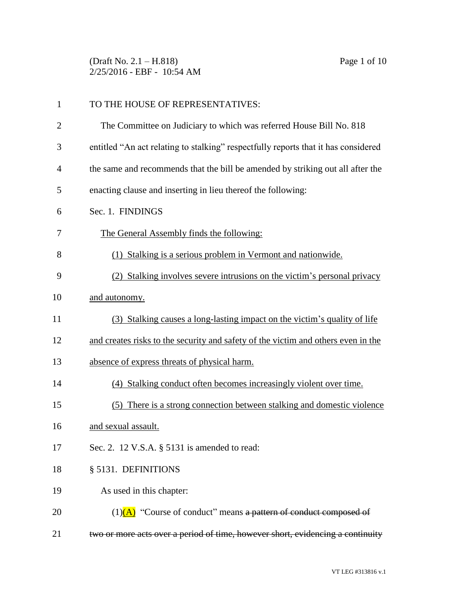(Draft No. 2.1 – H.818) Page 1 of 10 2/25/2016 - EBF - 10:54 AM

| $\mathbf{1}$   | TO THE HOUSE OF REPRESENTATIVES:                                                   |
|----------------|------------------------------------------------------------------------------------|
| $\overline{2}$ | The Committee on Judiciary to which was referred House Bill No. 818                |
| 3              | entitled "An act relating to stalking" respectfully reports that it has considered |
| $\overline{4}$ | the same and recommends that the bill be amended by striking out all after the     |
| 5              | enacting clause and inserting in lieu thereof the following:                       |
| 6              | Sec. 1. FINDINGS                                                                   |
| 7              | The General Assembly finds the following:                                          |
| 8              | (1) Stalking is a serious problem in Vermont and nationwide.                       |
| 9              | (2) Stalking involves severe intrusions on the victim's personal privacy           |
| 10             | and autonomy.                                                                      |
| 11             | (3) Stalking causes a long-lasting impact on the victim's quality of life          |
| 12             | and creates risks to the security and safety of the victim and others even in the  |
| 13             | absence of express threats of physical harm.                                       |
| 14             | (4) Stalking conduct often becomes increasingly violent over time.                 |
| 15             | (5) There is a strong connection between stalking and domestic violence            |
| 16             | and sexual assault.                                                                |
| 17             | Sec. 2. 12 V.S.A. § 5131 is amended to read:                                       |
| 18             | § 5131. DEFINITIONS                                                                |
| 19             | As used in this chapter:                                                           |
| 20             | $(1)$ (A) "Course of conduct" means a pattern of conduct composed of               |
| 21             | two or more acts over a period of time, however short, evidencing a continuity     |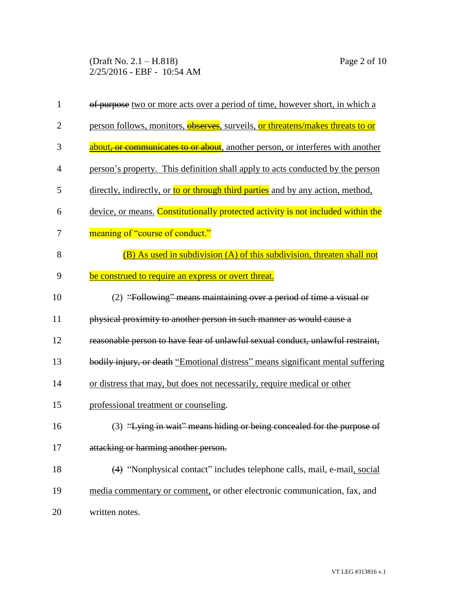(Draft No. 2.1 – H.818) Page 2 of 10 2/25/2016 - EBF - 10:54 AM

| $\mathbf{1}$   | of purpose two or more acts over a period of time, however short, in which a                |
|----------------|---------------------------------------------------------------------------------------------|
| $\overline{2}$ | person follows, monitors, observes, surveils, or threatens/makes threats to or              |
| 3              | about <del>, or communicates to or about</del> , another person, or interferes with another |
| $\overline{4}$ | person's property. This definition shall apply to acts conducted by the person              |
| 5              | directly, indirectly, or to or through third parties and by any action, method,             |
| 6              | device, or means. Constitutionally protected activity is not included within the            |
| 7              | meaning of "course of conduct."                                                             |
| 8              | (B) As used in subdivision (A) of this subdivision, threaten shall not                      |
| 9              | be construed to require an express or overt threat.                                         |
| 10             | (2) "Following" means maintaining over a period of time a visual or                         |
| 11             | physical proximity to another person in such manner as would cause a                        |
| 12             | reasonable person to have fear of unlawful sexual conduct, unlawful restraint,              |
| 13             | bodily injury, or death "Emotional distress" means significant mental suffering             |
| 14             | or distress that may, but does not necessarily, require medical or other                    |
| 15             | professional treatment or counseling.                                                       |
| 16             | (3) "Lying in wait" means hiding or being concealed for the purpose of                      |
| 17             | attacking or harming another person.                                                        |
| 18             | (4) "Nonphysical contact" includes telephone calls, mail, e-mail, social                    |
| 19             | media commentary or comment, or other electronic communication, fax, and                    |
| 20             | written notes.                                                                              |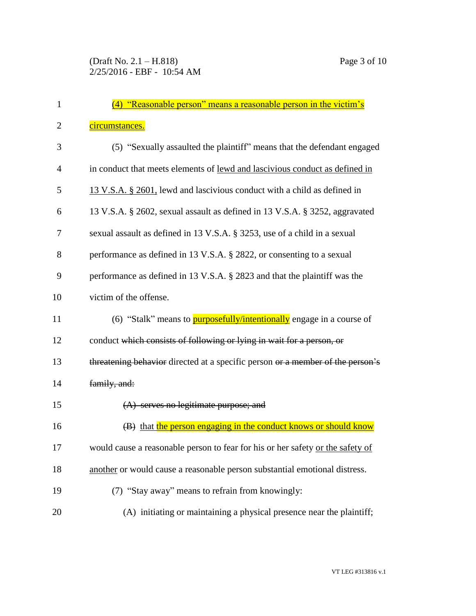| 1              | (4) "Reasonable person" means a reasonable person in the victim's              |
|----------------|--------------------------------------------------------------------------------|
| $\overline{2}$ | circumstances.                                                                 |
| 3              | (5) "Sexually assaulted the plaintiff" means that the defendant engaged        |
| 4              | in conduct that meets elements of lewd and lascivious conduct as defined in    |
| 5              | 13 V.S.A. § 2601, lewd and lascivious conduct with a child as defined in       |
| 6              | 13 V.S.A. § 2602, sexual assault as defined in 13 V.S.A. § 3252, aggravated    |
| 7              | sexual assault as defined in 13 V.S.A. § 3253, use of a child in a sexual      |
| 8              | performance as defined in 13 V.S.A. § 2822, or consenting to a sexual          |
| 9              | performance as defined in 13 V.S.A. § 2823 and that the plaintiff was the      |
| 10             | victim of the offense.                                                         |
| 11             | (6) "Stalk" means to <b>purposefully/intentionally</b> engage in a course of   |
| 12             | conduct which consists of following or lying in wait for a person, or          |
| 13             | threatening behavior directed at a specific person or a member of the person's |
| 14             | family, and:                                                                   |
| 15             | $(A)$ serves no legitimate purpose; and                                        |
| 16             | (B) that the person engaging in the conduct knows or should know               |
| 17             | would cause a reasonable person to fear for his or her safety or the safety of |
| 18             | another or would cause a reasonable person substantial emotional distress.     |
| 19             | (7) "Stay away" means to refrain from knowingly:                               |
| 20             | (A) initiating or maintaining a physical presence near the plaintiff;          |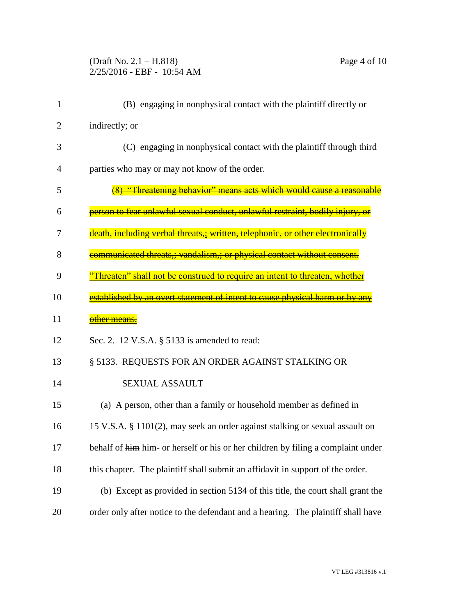## (Draft No. 2.1 – H.818) Page 4 of 10 2/25/2016 - EBF - 10:54 AM

| $\mathbf{1}$ | (B) engaging in nonphysical contact with the plaintiff directly or                       |
|--------------|------------------------------------------------------------------------------------------|
| 2            | indirectly; or                                                                           |
| 3            | (C) engaging in nonphysical contact with the plaintiff through third                     |
| 4            | parties who may or may not know of the order.                                            |
| 5            | (8) "Threatening behavior" means acts which would cause a reasonable                     |
| 6            | person to fear unlawful sexual conduct, unlawful restraint, bodily injury,               |
| 7            | death, including verbal threats,; written, telephonic, or other electronically           |
| 8            | <del>eommunicated threats,; vandalism,; or physical contact without consent.</del>       |
| 9            | Threaten" shall not be construed to require an intent to threaten, whether               |
| 10           | <mark>established by an overt statement of intent to cause physical harm or by an</mark> |
| 11           | other means.                                                                             |
| 12           | Sec. 2. 12 V.S.A. § 5133 is amended to read:                                             |
| 13           | § 5133. REQUESTS FOR AN ORDER AGAINST STALKING OR                                        |
| 14           | <b>SEXUAL ASSAULT</b>                                                                    |
| 15           | (a) A person, other than a family or household member as defined in                      |
| 16           | 15 V.S.A. § 1101(2), may seek an order against stalking or sexual assault on             |
| 17           | behalf of him him- or herself or his or her children by filing a complaint under         |
| 18           | this chapter. The plaintiff shall submit an affidavit in support of the order.           |
| 19           | (b) Except as provided in section 5134 of this title, the court shall grant the          |
| 20           | order only after notice to the defendant and a hearing. The plaintiff shall have         |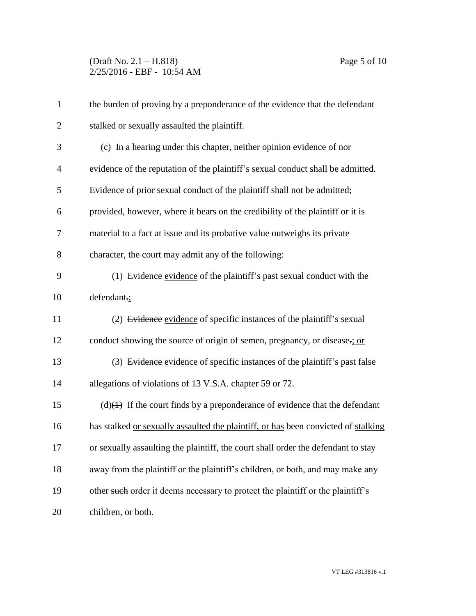## (Draft No. 2.1 – H.818) Page 5 of 10 2/25/2016 - EBF - 10:54 AM

| $\mathbf{1}$   | the burden of proving by a preponderance of the evidence that the defendant        |
|----------------|------------------------------------------------------------------------------------|
| $\overline{2}$ | stalked or sexually assaulted the plaintiff.                                       |
| 3              | (c) In a hearing under this chapter, neither opinion evidence of nor               |
| $\overline{4}$ | evidence of the reputation of the plaintiff's sexual conduct shall be admitted.    |
| 5              | Evidence of prior sexual conduct of the plaintiff shall not be admitted;           |
| 6              | provided, however, where it bears on the credibility of the plaintiff or it is     |
| 7              | material to a fact at issue and its probative value outweighs its private          |
| $8\,$          | character, the court may admit any of the following:                               |
| 9              | (1) Evidence evidence of the plaintiff's past sexual conduct with the              |
| 10             | defendant.;                                                                        |
| 11             | (2) Evidence evidence of specific instances of the plaintiff's sexual              |
| 12             | conduct showing the source of origin of semen, pregnancy, or disease-; or          |
| 13             | (3) Evidence evidence of specific instances of the plaintiff's past false          |
| 14             | allegations of violations of 13 V.S.A. chapter 59 or 72.                           |
| 15             | $(d)$ (d)(1) If the court finds by a preponderance of evidence that the defendant  |
| 16             | has stalked or sexually assaulted the plaintiff, or has been convicted of stalking |
| 17             | or sexually assaulting the plaintiff, the court shall order the defendant to stay  |
| 18             | away from the plaintiff or the plaintiff's children, or both, and may make any     |
| 19             | other such order it deems necessary to protect the plaintiff or the plaintiff's    |
| 20             | children, or both.                                                                 |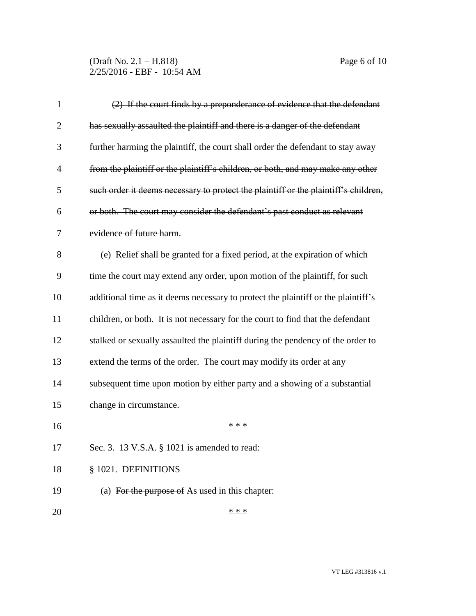(Draft No. 2.1 – H.818) Page 6 of 10 2/25/2016 - EBF - 10:54 AM

| $\mathbf{1}$   | (2) If the court finds by a preponderance of evidence that the defendant            |
|----------------|-------------------------------------------------------------------------------------|
| $\overline{c}$ | has sexually assaulted the plaintiff and there is a danger of the defendant         |
| 3              | further harming the plaintiff, the court shall order the defendant to stay away     |
| 4              | from the plaintiff or the plaintiff's children, or both, and may make any other     |
| 5              | such order it deems necessary to protect the plaintiff or the plaintiff's children, |
| 6              | or both. The court may consider the defendant's past conduct as relevant            |
| 7              | evidence of future harm.                                                            |
| 8              | (e) Relief shall be granted for a fixed period, at the expiration of which          |
| 9              | time the court may extend any order, upon motion of the plaintiff, for such         |
| 10             | additional time as it deems necessary to protect the plaintiff or the plaintiff's   |
| 11             | children, or both. It is not necessary for the court to find that the defendant     |
| 12             | stalked or sexually assaulted the plaintiff during the pendency of the order to     |
| 13             | extend the terms of the order. The court may modify its order at any                |
| 14             | subsequent time upon motion by either party and a showing of a substantial          |
| 15             | change in circumstance.                                                             |
| 16             | * * *                                                                               |
| 17             | Sec. 3. 13 V.S.A. § 1021 is amended to read:                                        |
| 18             | § 1021. DEFINITIONS                                                                 |
| 19             | (a) For the purpose of As used in this chapter:                                     |
| 20             | * * *                                                                               |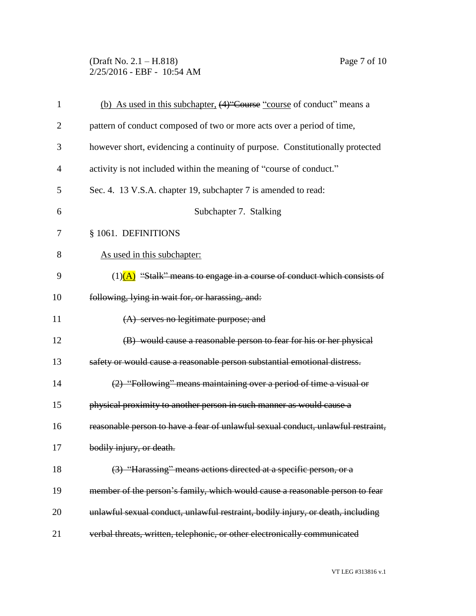(Draft No. 2.1 – H.818) Page 7 of 10 2/25/2016 - EBF - 10:54 AM

| $\mathbf{1}$   | (b) As used in this subchapter, (4) Course "course of conduct" means a           |
|----------------|----------------------------------------------------------------------------------|
| $\overline{2}$ | pattern of conduct composed of two or more acts over a period of time,           |
| 3              | however short, evidencing a continuity of purpose. Constitutionally protected    |
| $\overline{4}$ | activity is not included within the meaning of "course of conduct."              |
| 5              | Sec. 4. 13 V.S.A. chapter 19, subchapter 7 is amended to read:                   |
| 6              | Subchapter 7. Stalking                                                           |
| 7              | § 1061. DEFINITIONS                                                              |
| 8              | As used in this subchapter:                                                      |
| 9              | $(1)$ (A) "Stalk" means to engage in a course of conduct which consists of       |
| 10             | following, lying in wait for, or harassing, and:                                 |
| 11             | (A) serves no legitimate purpose; and                                            |
| 12             | (B) would cause a reasonable person to fear for his or her physical              |
| 13             | safety or would cause a reasonable person substantial emotional distress.        |
| 14             | (2) "Following" means maintaining over a period of time a visual or              |
| 15             | physical proximity to another person in such manner as would cause a             |
| 16             | reasonable person to have a fear of unlawful sexual conduct, unlawful restraint, |
| 17             | bodily injury, or death.                                                         |
| 18             | (3) "Harassing" means actions directed at a specific person, or a                |
| 19             | member of the person's family, which would cause a reasonable person to fear     |
| 20             | unlawful sexual conduct, unlawful restraint, bodily injury, or death, including  |
| 21             | verbal threats, written, telephonic, or other electronically communicated        |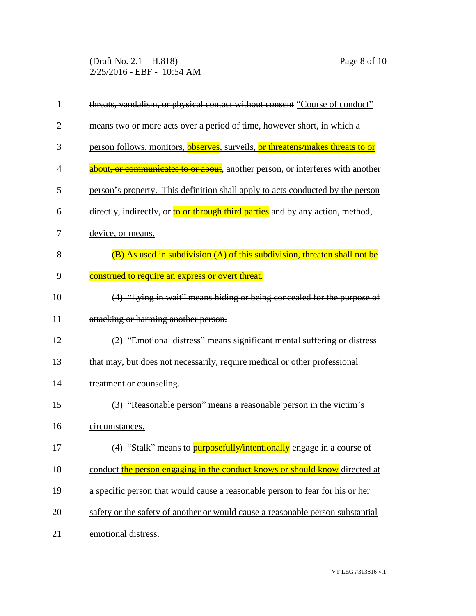(Draft No. 2.1 – H.818) Page 8 of 10 2/25/2016 - EBF - 10:54 AM

| 1              | threats, vandalism, or physical contact without consent "Course of conduct"     |
|----------------|---------------------------------------------------------------------------------|
| $\overline{2}$ | means two or more acts over a period of time, however short, in which a         |
| 3              | person follows, monitors, observes, surveils, or threatens/makes threats to or  |
| 4              | about, or communicates to or about, another person, or interferes with another  |
| 5              | person's property. This definition shall apply to acts conducted by the person  |
| 6              | directly, indirectly, or to or through third parties and by any action, method, |
| 7              | device, or means.                                                               |
| 8              | (B) As used in subdivision (A) of this subdivision, threaten shall not be       |
| 9              | construed to require an express or overt threat.                                |
| 10             | (4) "Lying in wait" means hiding or being concealed for the purpose of          |
| 11             | attacking or harming another person.                                            |
| 12             | (2) "Emotional distress" means significant mental suffering or distress         |
| 13             | that may, but does not necessarily, require medical or other professional       |
| 14             | treatment or counseling.                                                        |
| 15             | (3) "Reasonable person" means a reasonable person in the victim's               |
| 16             | circumstances.                                                                  |
| 17             | (4) "Stalk" means to <b>purposefully/intentionally</b> engage in a course of    |
| 18             | conduct the person engaging in the conduct knows or should know directed at     |
| 19             | a specific person that would cause a reasonable person to fear for his or her   |
| 20             | safety or the safety of another or would cause a reasonable person substantial  |
| 21             | emotional distress.                                                             |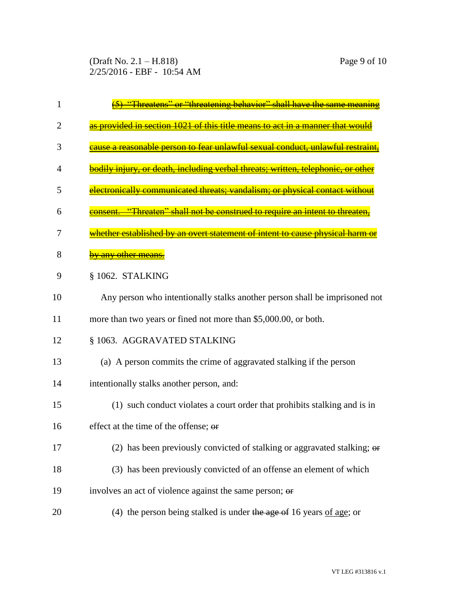(Draft No. 2.1 – H.818) Page 9 of 10 2/25/2016 - EBF - 10:54 AM

| ı  | or ''threatening behavior''<br>shall have the                                         |
|----|---------------------------------------------------------------------------------------|
| 2  | provided in section 1021 of this title means to act in a manner that wou              |
| 3  | onable person to fear unlawful sexual conduct, unlawful rest                          |
| 4  | <u>dily injury, or death, including verbal threats; written, telephonic, or other</u> |
| 5  | electronically communicated threats: vandalism: or physical contact withou            |
| 6  | <u>"Threaten" shall not be construed to require an intent to threaten</u>             |
| 7  | hether established by an overt statement of intent to cause physical har              |
| 8  | any other mean:                                                                       |
| 9  | § 1062. STALKING                                                                      |
| 10 | Any person who intentionally stalks another person shall be imprisoned not            |
| 11 | more than two years or fined not more than \$5,000.00, or both.                       |
| 12 | § 1063. AGGRAVATED STALKING                                                           |
| 13 | (a) A person commits the crime of aggravated stalking if the person                   |
| 14 | intentionally stalks another person, and:                                             |
| 15 | (1) such conduct violates a court order that prohibits stalking and is in             |
| 16 | effect at the time of the offense; or                                                 |
| 17 | (2) has been previously convicted of stalking or aggravated stalking; $\theta$        |
| 18 | (3) has been previously convicted of an offense an element of which                   |
| 19 | involves an act of violence against the same person; or                               |
| 20 | (4) the person being stalked is under the age of 16 years of age; or                  |